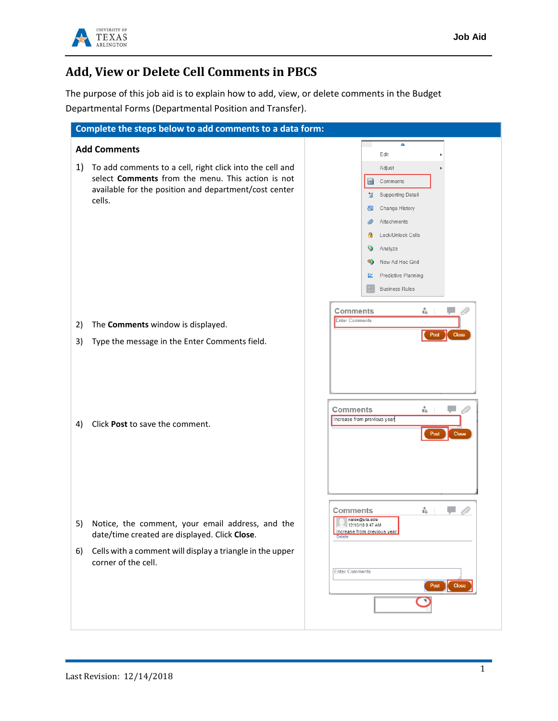

## **Add, View or Delete Cell Comments in PBCS**

The purpose of this job aid is to explain how to add, view, or delete comments in the Budget Departmental Forms (Departmental Position and Transfer).

| Complete the steps below to add comments to a data form:                                                                                                                               |                                                                                                                                                                                                                                         |
|----------------------------------------------------------------------------------------------------------------------------------------------------------------------------------------|-----------------------------------------------------------------------------------------------------------------------------------------------------------------------------------------------------------------------------------------|
| <b>Add Comments</b>                                                                                                                                                                    | ▵<br>Edit                                                                                                                                                                                                                               |
| 1)<br>To add comments to a cell, right click into the cell and<br>select Comments from the menu. This action is not<br>available for the position and department/cost center<br>cells. | Adjust<br>Comments<br>$\triangle$<br>Supporting Detail<br>雏<br>Change History<br>Œ<br>Attachments<br>Lock/Unlock Cells<br>$\ddot{\bm{\delta}}$<br>Analyze<br>New Ad Hoc Grid<br>∾<br>Predictive Planning<br>ũ.<br><b>Business Rules</b> |
| The Comments window is displayed.<br>2)                                                                                                                                                | Ŀ.<br>Comments<br>V<br><b>Enter Comments</b>                                                                                                                                                                                            |
| Type the message in the Enter Comments field.<br>3)                                                                                                                                    | <b>Close</b><br>Post                                                                                                                                                                                                                    |
| Click Post to save the comment.<br>4)                                                                                                                                                  | ŀ.<br>Comments<br>Increase from previous year<br>Close<br>Post                                                                                                                                                                          |
| Notice, the comment, your email address, and the<br>5)<br>date/time created are displayed. Click Close.                                                                                | Ů.<br>Comments<br>nalex@uta.edu<br>12/10/18 9:47 AM<br>Increase from previous year<br>Delete                                                                                                                                            |
| Cells with a comment will display a triangle in the upper<br>6)<br>corner of the cell.                                                                                                 | <b>Enter Comments</b><br>Post<br><b>Close</b>                                                                                                                                                                                           |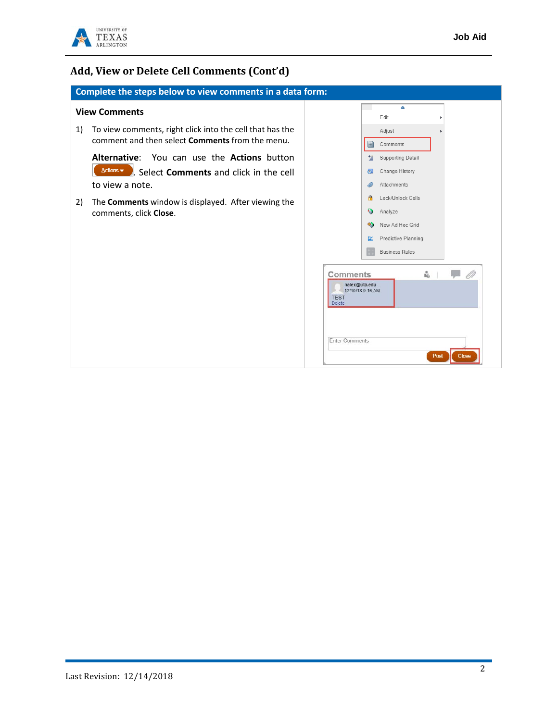

## **Add, View or Delete Cell Comments (Cont'd)**